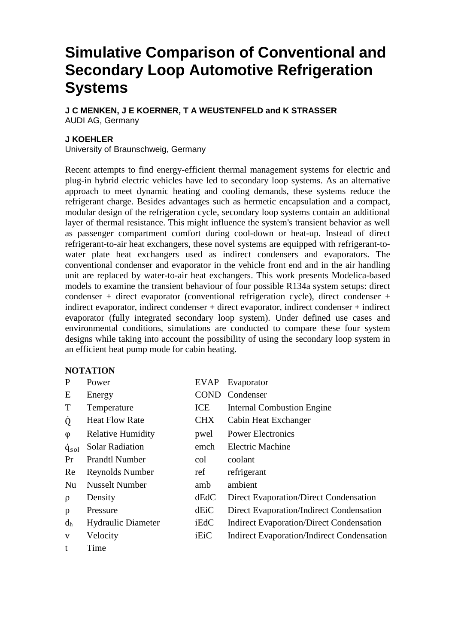# **Simulative Comparison of Conventional and Secondary Loop Automotive Refrigeration Systems**

**J C MENKEN, J E KOERNER, T A WEUSTENFELD and K STRASSER**  AUDI AG, Germany

#### **J KOEHLER**

University of Braunschweig, Germany

Recent attempts to find energy-efficient thermal management systems for electric and plug-in hybrid electric vehicles have led to secondary loop systems. As an alternative approach to meet dynamic heating and cooling demands, these systems reduce the refrigerant charge. Besides advantages such as hermetic encapsulation and a compact, modular design of the refrigeration cycle, secondary loop systems contain an additional layer of thermal resistance. This might influence the system's transient behavior as well as passenger compartment comfort during cool-down or heat-up. Instead of direct refrigerant-to-air heat exchangers, these novel systems are equipped with refrigerant-towater plate heat exchangers used as indirect condensers and evaporators. The conventional condenser and evaporator in the vehicle front end and in the air handling unit are replaced by water-to-air heat exchangers. This work presents Modelica-based models to examine the transient behaviour of four possible R134a system setups: direct condenser + direct evaporator (conventional refrigeration cycle), direct condenser + indirect evaporator, indirect condenser + direct evaporator, indirect condenser + indirect evaporator (fully integrated secondary loop system). Under defined use cases and environmental conditions, simulations are conducted to compare these four system designs while taking into account the possibility of using the secondary loop system in an efficient heat pump mode for cabin heating.

### **NOTATION**

| P               | Power                     | <b>EVAP</b> | Evaporator                                        |
|-----------------|---------------------------|-------------|---------------------------------------------------|
| E               | Energy                    | <b>COND</b> | Condenser                                         |
| T               | Temperature               | ICE         | <b>Internal Combustion Engine</b>                 |
| Q               | <b>Heat Flow Rate</b>     | <b>CHX</b>  | Cabin Heat Exchanger                              |
| $\varphi$       | <b>Relative Humidity</b>  | pwel        | <b>Power Electronics</b>                          |
| $\dot{q}_{sol}$ | <b>Solar Radiation</b>    | emch        | <b>Electric Machine</b>                           |
| Pr              | <b>Prandtl Number</b>     | col         | coolant                                           |
| Re              | Reynolds Number           | ref         | refrigerant                                       |
| Nu              | <b>Nusselt Number</b>     | amb         | ambient                                           |
| $\rho$          | Density                   | dEdC        | Direct Evaporation/Direct Condensation            |
| p               | Pressure                  | dEiC        | Direct Evaporation/Indirect Condensation          |
| $d_h$           | <b>Hydraulic Diameter</b> | iEdC        | <b>Indirect Evaporation/Direct Condensation</b>   |
| V               | Velocity                  | iEiC        | <b>Indirect Evaporation/Indirect Condensation</b> |
|                 | Time                      |             |                                                   |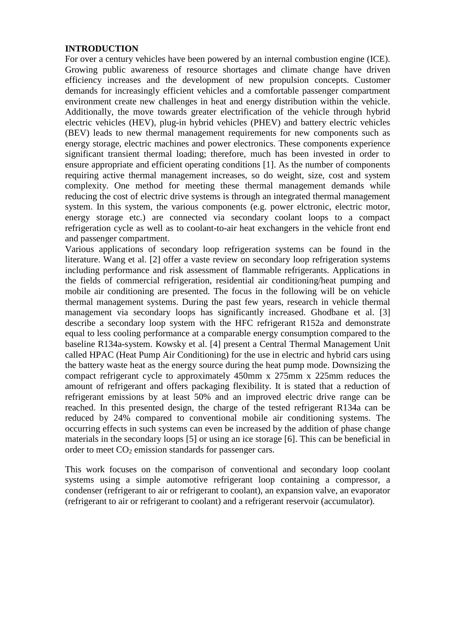### **INTRODUCTION**

For over a century vehicles have been powered by an internal combustion engine (ICE). Growing public awareness of resource shortages and climate change have driven efficiency increases and the development of new propulsion concepts. Customer demands for increasingly efficient vehicles and a comfortable passenger compartment environment create new challenges in heat and energy distribution within the vehicle. Additionally, the move towards greater electrification of the vehicle through hybrid electric vehicles (HEV), plug-in hybrid vehicles (PHEV) and battery electric vehicles (BEV) leads to new thermal management requirements for new components such as energy storage, electric machines and power electronics. These components experience significant transient thermal loading; therefore, much has been invested in order to ensure appropriate and efficient operating conditions [1]. As the number of components requiring active thermal management increases, so do weight, size, cost and system complexity. One method for meeting these thermal management demands while reducing the cost of electric drive systems is through an integrated thermal management system. In this system, the various components (e.g. power elctronic, electric motor, energy storage etc.) are connected via secondary coolant loops to a compact refrigeration cycle as well as to coolant-to-air heat exchangers in the vehicle front end and passenger compartment.

Various applications of secondary loop refrigeration systems can be found in the literature. Wang et al. [2] offer a vaste review on secondary loop refrigeration systems including performance and risk assessment of flammable refrigerants. Applications in the fields of commercial refrigeration, residential air conditioning/heat pumping and mobile air conditioning are presented. The focus in the following will be on vehicle thermal management systems. During the past few years, research in vehicle thermal management via secondary loops has significantly increased. Ghodbane et al. [3] describe a secondary loop system with the HFC refrigerant R152a and demonstrate equal to less cooling performance at a comparable energy consumption compared to the baseline R134a-system. Kowsky et al. [4] present a Central Thermal Management Unit called HPAC (Heat Pump Air Conditioning) for the use in electric and hybrid cars using the battery waste heat as the energy source during the heat pump mode. Downsizing the compact refrigerant cycle to approximately 450mm x 275mm x 225mm reduces the amount of refrigerant and offers packaging flexibility. It is stated that a reduction of refrigerant emissions by at least 50% and an improved electric drive range can be reached. In this presented design, the charge of the tested refrigerant R134a can be reduced by 24% compared to conventional mobile air conditioning systems. The occurring effects in such systems can even be increased by the addition of phase change materials in the secondary loops [5] or using an ice storage [6]. This can be beneficial in order to meet CO2 emission standards for passenger cars.

This work focuses on the comparison of conventional and secondary loop coolant systems using a simple automotive refrigerant loop containing a compressor, a condenser (refrigerant to air or refrigerant to coolant), an expansion valve, an evaporator (refrigerant to air or refrigerant to coolant) and a refrigerant reservoir (accumulator).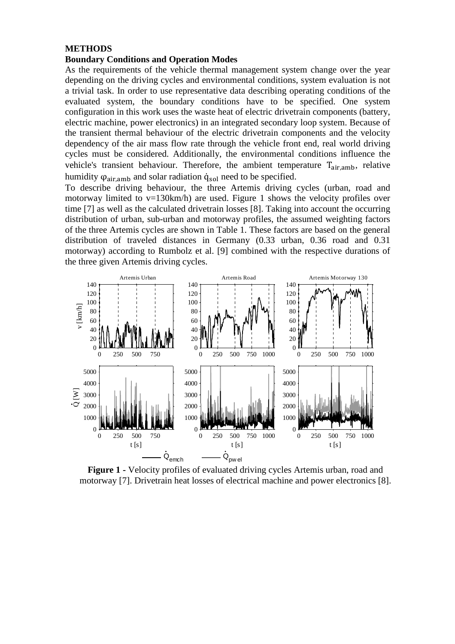#### **METHODS**

### **Boundary Conditions and Operation Modes**

As the requirements of the vehicle thermal management system change over the year depending on the driving cycles and environmental conditions, system evaluation is not a trivial task. In order to use representative data describing operating conditions of the evaluated system, the boundary conditions have to be specified. One system configuration in this work uses the waste heat of electric drivetrain components (battery, electric machine, power electronics) in an integrated secondary loop system. Because of the transient thermal behaviour of the electric drivetrain components and the velocity dependency of the air mass flow rate through the vehicle front end, real world driving cycles must be considered. Additionally, the environmental conditions influence the vehicle's transient behaviour. Therefore, the ambient temperature  $T_{air,amb}$ , relative humidity  $\varphi_{\text{air,amb}}$  and solar radiation  $\dot{q}_{\text{sol}}$  need to be specified.

To describe driving behaviour, the three Artemis driving cycles (urban, road and motorway limited to  $v=130$ km/h) are used. Figure 1 shows the velocity profiles over time [7] as well as the calculated drivetrain losses [8]. Taking into account the occurring distribution of urban, sub-urban and motorway profiles, the assumed weighting factors of the three Artemis cycles are shown in Table 1. These factors are based on the general distribution of traveled distances in Germany (0.33 urban, 0.36 road and 0.31 motorway) according to Rumbolz et al. [9] combined with the respective durations of the three given Artemis driving cycles.



**Figure 1 -** Velocity profiles of evaluated driving cycles Artemis urban, road and motorway [7]. Drivetrain heat losses of electrical machine and power electronics [8].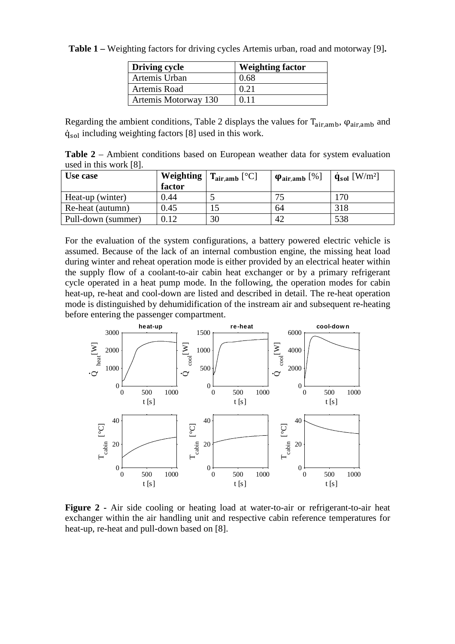**Table 1 –** Weighting factors for driving cycles Artemis urban, road and motorway [9]**.** 

| Driving cycle        | <b>Weighting factor</b> |
|----------------------|-------------------------|
| Artemis Urban        | 0.68                    |
| Artemis Road         | 0.21                    |
| Artemis Motorway 130 | 0.11                    |

Regarding the ambient conditions, Table 2 displays the values for  $T_{air,amb}$ ,  $\varphi_{air,amb}$  and  $\dot{q}_{sol}$  including weighting factors [8] used in this work.

**Table 2** – Ambient conditions based on European weather data for system evaluation used in this work [8].

| Use case           | Weighting<br>factor | $\mathsf{T}_{\text{air,amb}}$ [°C] | $\varphi_{\text{air,amb}}$ [%] | $\dot{q}_{sol}$ [W/m <sup>2</sup> ] |
|--------------------|---------------------|------------------------------------|--------------------------------|-------------------------------------|
| Heat-up (winter)   | 0.44                |                                    | 75                             | 170                                 |
| Re-heat (autumn)   | 0.45                | 15                                 | 64                             | 318                                 |
| Pull-down (summer) | 0.12                | 30                                 | 42                             | 538                                 |

For the evaluation of the system configurations, a battery powered electric vehicle is assumed. Because of the lack of an internal combustion engine, the missing heat load during winter and reheat operation mode is either provided by an electrical heater within the supply flow of a coolant-to-air cabin heat exchanger or by a primary refrigerant cycle operated in a heat pump mode. In the following, the operation modes for cabin heat-up, re-heat and cool-down are listed and described in detail. The re-heat operation mode is distinguished by dehumidification of the instream air and subsequent re-heating before entering the passenger compartment.



Figure 2 - Air side cooling or heating load at water-to-air or refrigerant-to-air heat exchanger within the air handling unit and respective cabin reference temperatures for heat-up, re-heat and pull-down based on [8].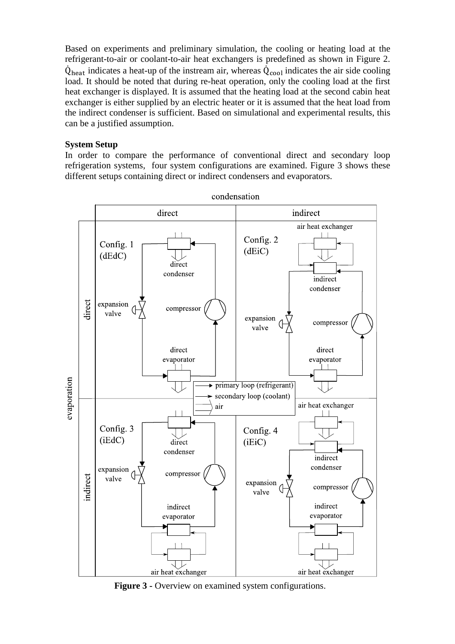Based on experiments and preliminary simulation, the cooling or heating load at the refrigerant-to-air or coolant-to-air heat exchangers is predefined as shown in Figure 2.  $\dot{Q}_{\text{heat}}$  indicates a heat-up of the instream air, whereas  $\dot{Q}_{\text{cool}}$  indicates the air side cooling load. It should be noted that during re-heat operation, only the cooling load at the first heat exchanger is displayed. It is assumed that the heating load at the second cabin heat exchanger is either supplied by an electric heater or it is assumed that the heat load from the indirect condenser is sufficient. Based on simulational and experimental results, this can be a justified assumption.

#### **System Setup**

In order to compare the performance of conventional direct and secondary loop refrigeration systems, four system configurations are examined. Figure 3 shows these different setups containing direct or indirect condensers and evaporators.



condensation

**Figure 3 -** Overview on examined system configurations.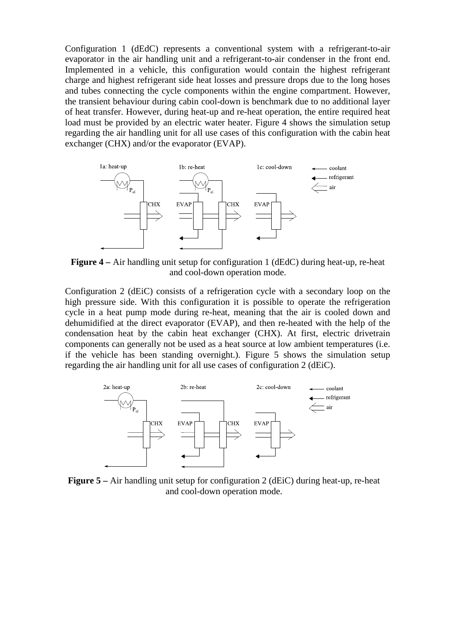Configuration 1 (dEdC) represents a conventional system with a refrigerant-to-air evaporator in the air handling unit and a refrigerant-to-air condenser in the front end. Implemented in a vehicle, this configuration would contain the highest refrigerant charge and highest refrigerant side heat losses and pressure drops due to the long hoses and tubes connecting the cycle components within the engine compartment. However, the transient behaviour during cabin cool-down is benchmark due to no additional layer of heat transfer. However, during heat-up and re-heat operation, the entire required heat load must be provided by an electric water heater. Figure 4 shows the simulation setup regarding the air handling unit for all use cases of this configuration with the cabin heat exchanger (CHX) and/or the evaporator (EVAP).



**Figure 4 –** Air handling unit setup for configuration 1 (dEdC) during heat-up, re-heat and cool-down operation mode.

Configuration 2 (dEiC) consists of a refrigeration cycle with a secondary loop on the high pressure side. With this configuration it is possible to operate the refrigeration cycle in a heat pump mode during re-heat, meaning that the air is cooled down and dehumidified at the direct evaporator (EVAP), and then re-heated with the help of the condensation heat by the cabin heat exchanger (CHX). At first, electric drivetrain components can generally not be used as a heat source at low ambient temperatures (i.e. if the vehicle has been standing overnight.). Figure 5 shows the simulation setup regarding the air handling unit for all use cases of configuration 2 (dEiC).



**Figure 5 –** Air handling unit setup for configuration 2 (dEiC) during heat-up, re-heat and cool-down operation mode.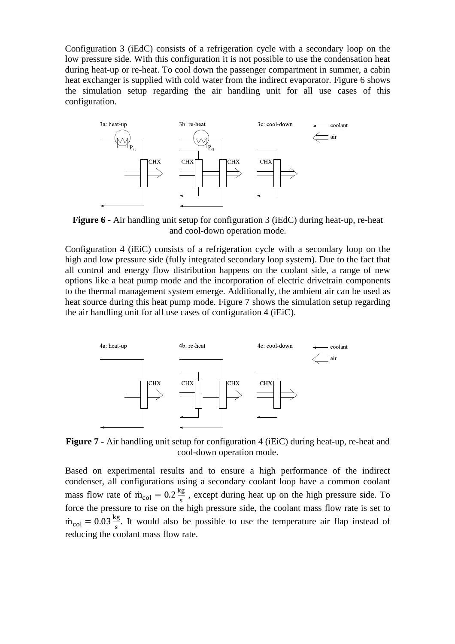Configuration 3 (iEdC) consists of a refrigeration cycle with a secondary loop on the low pressure side. With this configuration it is not possible to use the condensation heat during heat-up or re-heat. To cool down the passenger compartment in summer, a cabin heat exchanger is supplied with cold water from the indirect evaporator. Figure 6 shows the simulation setup regarding the air handling unit for all use cases of this configuration.



**Figure 6 -** Air handling unit setup for configuration 3 (iEdC) during heat-up, re-heat and cool-down operation mode.

Configuration 4 (iEiC) consists of a refrigeration cycle with a secondary loop on the high and low pressure side (fully integrated secondary loop system). Due to the fact that all control and energy flow distribution happens on the coolant side, a range of new options like a heat pump mode and the incorporation of electric drivetrain components to the thermal management system emerge. Additionally, the ambient air can be used as heat source during this heat pump mode. Figure 7 shows the simulation setup regarding the air handling unit for all use cases of configuration 4 (iEiC).



**Figure 7 -** Air handling unit setup for configuration 4 (iEiC) during heat-up, re-heat and cool-down operation mode.

Based on experimental results and to ensure a high performance of the indirect condenser, all configurations using a secondary coolant loop have a common coolant mass flow rate of  $\dot{m}_{\text{col}} = 0.2 \frac{\text{kg}}{\text{s}}$ , except during heat up on the high pressure side. To force the pressure to rise on the high pressure side, the coolant mass flow rate is set to  $\dot{m}_{\text{col}} = 0.03 \frac{\text{kg}}{\text{s}}$ . It would also be possible to use the temperature air flap instead of reducing the coolant mass flow rate.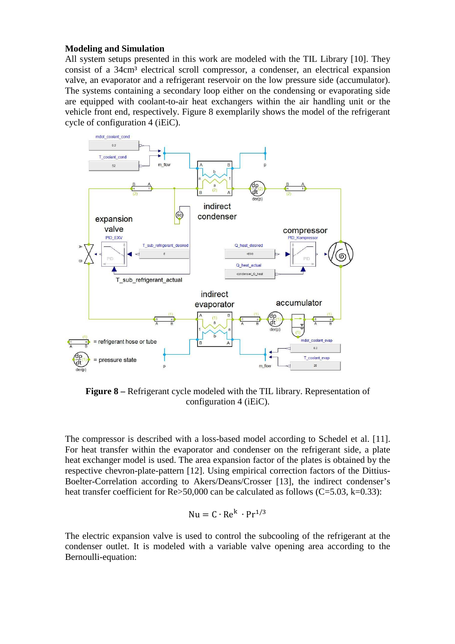#### **Modeling and Simulation**

All system setups presented in this work are modeled with the TIL Library [10]. They consist of a 34cm<sup>3</sup> electrical scroll compressor, a condenser, an electrical expansion valve, an evaporator and a refrigerant reservoir on the low pressure side (accumulator). The systems containing a secondary loop either on the condensing or evaporating side are equipped with coolant-to-air heat exchangers within the air handling unit or the vehicle front end, respectively. Figure 8 exemplarily shows the model of the refrigerant cycle of configuration 4 (iEiC).



**Figure 8 –** Refrigerant cycle modeled with the TIL library. Representation of configuration 4 (iEiC).

The compressor is described with a loss-based model according to Schedel et al. [11]. For heat transfer within the evaporator and condenser on the refrigerant side, a plate heat exchanger model is used. The area expansion factor of the plates is obtained by the respective chevron-plate-pattern [12]. Using empirical correction factors of the Dittius-Boelter-Correlation according to Akers/Deans/Crosser [13], the indirect condenser's heat transfer coefficient for Re>50,000 can be calculated as follows (C=5.03, k=0.33):

$$
Nu = C \cdot Re^{k} \cdot Pr^{1/3}
$$

The electric expansion valve is used to control the subcooling of the refrigerant at the condenser outlet. It is modeled with a variable valve opening area according to the Bernoulli-equation: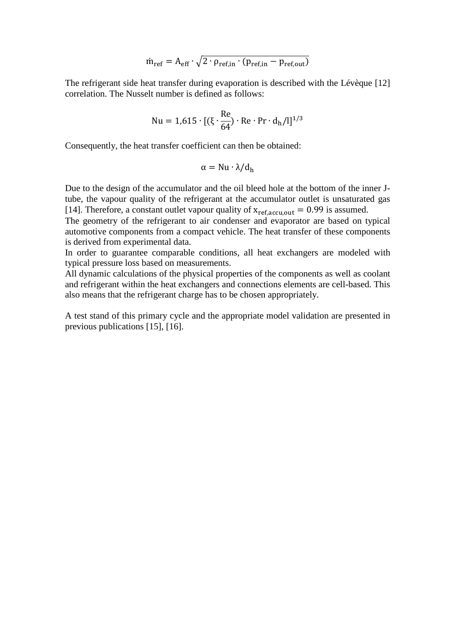$$
\dot{m}_{ref} = A_{eff} \cdot \sqrt{2} \cdot \rho_{ref,in} \cdot (p_{ref,in} - p_{ref,out})
$$

The refrigerant side heat transfer during evaporation is described with the Lévèque [12] correlation. The Nusselt number is defined as follows:

$$
Nu = 1,615 \cdot [(\xi \cdot \frac{Re}{64}) \cdot Re \cdot Pr \cdot d_h/l]^{1/3}
$$

Consequently, the heat transfer coefficient can then be obtained:

$$
\alpha = Nu \cdot \lambda / d_h
$$

Due to the design of the accumulator and the oil bleed hole at the bottom of the inner Jtube, the vapour quality of the refrigerant at the accumulator outlet is unsaturated gas [14]. Therefore, a constant outlet vapour quality of  $x_{ref,accu,out} = 0.99$  is assumed.

The geometry of the refrigerant to air condenser and evaporator are based on typical automotive components from a compact vehicle. The heat transfer of these components is derived from experimental data.

In order to guarantee comparable conditions, all heat exchangers are modeled with typical pressure loss based on measurements.

All dynamic calculations of the physical properties of the components as well as coolant and refrigerant within the heat exchangers and connections elements are cell-based. This also means that the refrigerant charge has to be chosen appropriately.

A test stand of this primary cycle and the appropriate model validation are presented in previous publications [15], [16].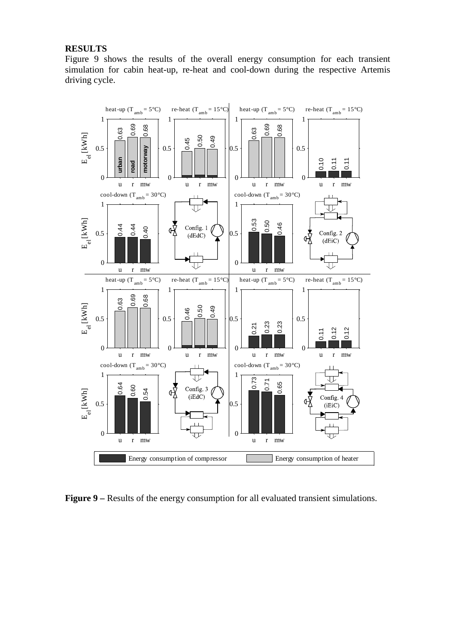#### **RESULTS**

Figure 9 shows the results of the overall energy consumption for each transient simulation for cabin heat-up, re-heat and cool-down during the respective Artemis driving cycle.



**Figure 9** – Results of the energy consumption for all evaluated transient simulations.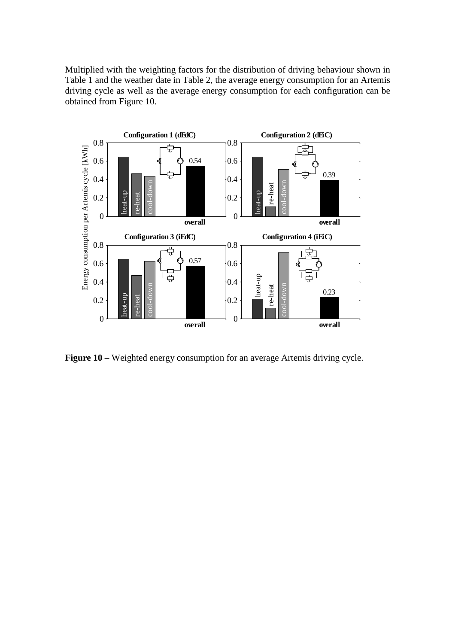Multiplied with the weighting factors for the distribution of driving behaviour shown in Table 1 and the weather date in Table 2, the average energy consumption for an Artemis driving cycle as well as the average energy consumption for each configuration can be obtained from Figure 10.



**Figure 10** – Weighted energy consumption for an average Artemis driving cycle.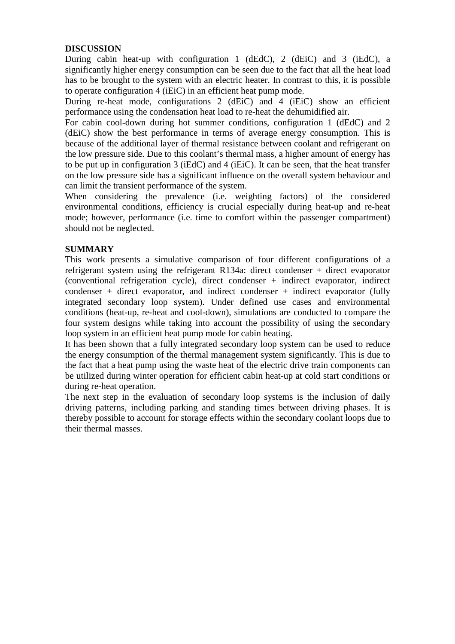## **DISCUSSION**

During cabin heat-up with configuration 1 (dEdC), 2 (dEiC) and 3 (iEdC), a significantly higher energy consumption can be seen due to the fact that all the heat load has to be brought to the system with an electric heater. In contrast to this, it is possible to operate configuration 4 (iEiC) in an efficient heat pump mode.

During re-heat mode, configurations 2 (dEiC) and 4 (iEiC) show an efficient performance using the condensation heat load to re-heat the dehumidified air.

For cabin cool-down during hot summer conditions, configuration 1 (dEdC) and 2 (dEiC) show the best performance in terms of average energy consumption. This is because of the additional layer of thermal resistance between coolant and refrigerant on the low pressure side. Due to this coolant's thermal mass, a higher amount of energy has to be put up in configuration 3 (iEdC) and 4 (iEiC). It can be seen, that the heat transfer on the low pressure side has a significant influence on the overall system behaviour and can limit the transient performance of the system.

When considering the prevalence (i.e. weighting factors) of the considered environmental conditions, efficiency is crucial especially during heat-up and re-heat mode; however, performance (i.e. time to comfort within the passenger compartment) should not be neglected.

# **SUMMARY**

This work presents a simulative comparison of four different configurations of a refrigerant system using the refrigerant R134a: direct condenser + direct evaporator (conventional refrigeration cycle), direct condenser + indirect evaporator, indirect condenser + direct evaporator, and indirect condenser + indirect evaporator (fully integrated secondary loop system). Under defined use cases and environmental conditions (heat-up, re-heat and cool-down), simulations are conducted to compare the four system designs while taking into account the possibility of using the secondary loop system in an efficient heat pump mode for cabin heating.

It has been shown that a fully integrated secondary loop system can be used to reduce the energy consumption of the thermal management system significantly. This is due to the fact that a heat pump using the waste heat of the electric drive train components can be utilized during winter operation for efficient cabin heat-up at cold start conditions or during re-heat operation.

The next step in the evaluation of secondary loop systems is the inclusion of daily driving patterns, including parking and standing times between driving phases. It is thereby possible to account for storage effects within the secondary coolant loops due to their thermal masses.